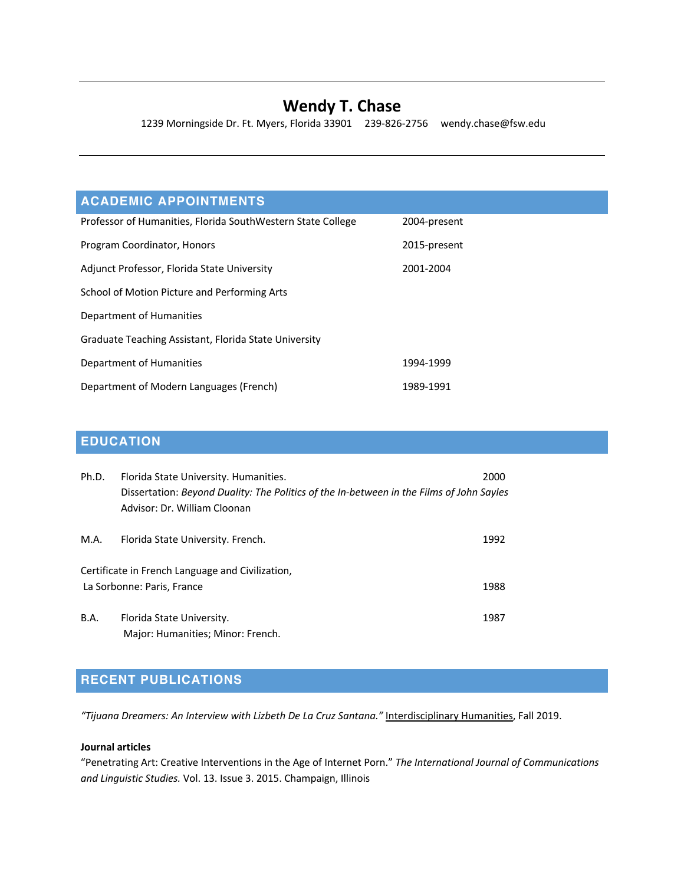## **Wendy T. Chase**

1239 Morningside Dr. Ft. Myers, Florida 33901 239-826-2756 wendy.chase@fsw.edu

## **ACADEMIC APPOINTMENTS**

| Professor of Humanities, Florida SouthWestern State College | 2004-present |
|-------------------------------------------------------------|--------------|
| Program Coordinator, Honors                                 | 2015-present |
| Adjunct Professor, Florida State University                 | 2001-2004    |
| School of Motion Picture and Performing Arts                |              |
| Department of Humanities                                    |              |
| Graduate Teaching Assistant, Florida State University       |              |
| Department of Humanities                                    | 1994-1999    |
| Department of Modern Languages (French)                     | 1989-1991    |

## **EDUCATION**

| Ph.D.       | Florida State University. Humanities.<br>Dissertation: Beyond Duality: The Politics of the In-between in the Films of John Sayles<br>Advisor: Dr. William Cloonan | 2000 |
|-------------|-------------------------------------------------------------------------------------------------------------------------------------------------------------------|------|
| M.A.        | Florida State University. French.                                                                                                                                 | 1992 |
|             | Certificate in French Language and Civilization,<br>La Sorbonne: Paris, France                                                                                    | 1988 |
| <b>B.A.</b> | Florida State University.<br>Major: Humanities; Minor: French.                                                                                                    | 1987 |

# **RECENT PUBLICATIONS**

*"Tijuana Dreamers: An Interview with Lizbeth De La Cruz Santana."* Interdisciplinary Humanities, Fall 2019.

### **Journal articles**

"Penetrating Art: Creative Interventions in the Age of Internet Porn." *The International Journal of Communications and Linguistic Studies.* Vol. 13. Issue 3. 2015. Champaign, Illinois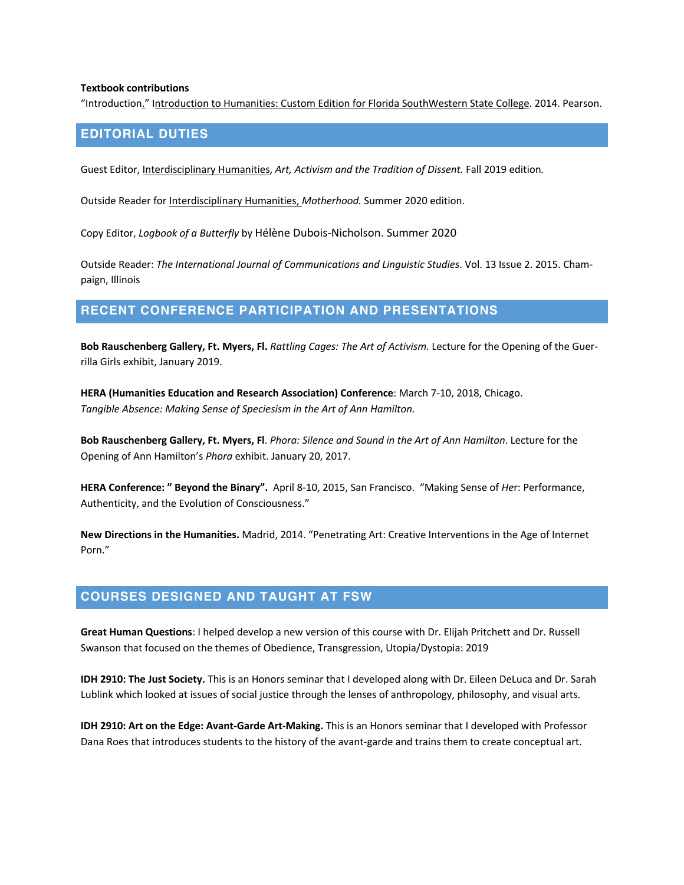#### **Textbook contributions**

"Introduction." Introduction to Humanities: Custom Edition for Florida SouthWestern State College. 2014. Pearson.

### **EDITORIAL DUTIES**

Guest Editor, Interdisciplinary Humanities, *Art, Activism and the Tradition of Dissent.* Fall 2019 edition*.* 

Outside Reader for Interdisciplinary Humanities, *Motherhood.* Summer 2020 edition.

Copy Editor, *Logbook of a Butterfly* by Hélène Dubois-Nicholson. Summer 2020

Outside Reader: *The International Journal of Communications and Linguistic Studies*. Vol. 13 Issue 2. 2015. Champaign, Illinois

### **RECENT CONFERENCE PARTICIPATION AND PRESENTATIONS**

**Bob Rauschenberg Gallery, Ft. Myers, Fl.** *Rattling Cages: The Art of Activism.* Lecture for the Opening of the Guerrilla Girls exhibit, January 2019.

**HERA (Humanities Education and Research Association) Conference**: March 7-10, 2018, Chicago. *Tangible Absence: Making Sense of Speciesism in the Art of Ann Hamilton.*

**Bob Rauschenberg Gallery, Ft. Myers, Fl**. *Phora: Silence and Sound in the Art of Ann Hamilton*. Lecture for the Opening of Ann Hamilton's *Phora* exhibit. January 20, 2017.

**HERA Conference: " Beyond the Binary".** April 8-10, 2015, San Francisco. "Making Sense of *He*r: Performance, Authenticity, and the Evolution of Consciousness."

**New Directions in the Humanities.** Madrid, 2014. "Penetrating Art: Creative Interventions in the Age of Internet Porn."

### **COURSES DESIGNED AND TAUGHT AT FSW**

**Great Human Questions**: I helped develop a new version of this course with Dr. Elijah Pritchett and Dr. Russell Swanson that focused on the themes of Obedience, Transgression, Utopia/Dystopia: 2019

**IDH 2910: The Just Society.** This is an Honors seminar that I developed along with Dr. Eileen DeLuca and Dr. Sarah Lublink which looked at issues of social justice through the lenses of anthropology, philosophy, and visual arts.

**IDH 2910: Art on the Edge: Avant-Garde Art-Making.** This is an Honors seminar that I developed with Professor Dana Roes that introduces students to the history of the avant-garde and trains them to create conceptual art.